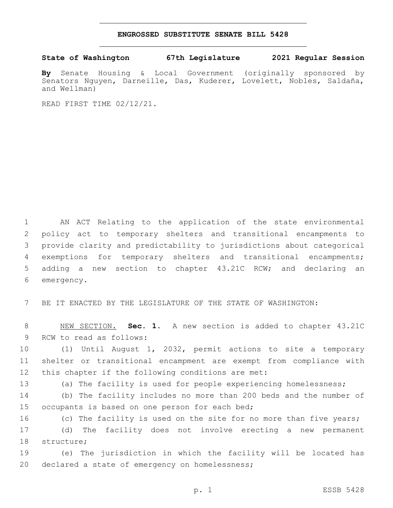## **ENGROSSED SUBSTITUTE SENATE BILL 5428**

## **State of Washington 67th Legislature 2021 Regular Session**

**By** Senate Housing & Local Government (originally sponsored by Senators Nguyen, Darneille, Das, Kuderer, Lovelett, Nobles, Saldaña, and Wellman)

READ FIRST TIME 02/12/21.

 AN ACT Relating to the application of the state environmental policy act to temporary shelters and transitional encampments to provide clarity and predictability to jurisdictions about categorical exemptions for temporary shelters and transitional encampments; adding a new section to chapter 43.21C RCW; and declaring an 6 emergency.

7 BE IT ENACTED BY THE LEGISLATURE OF THE STATE OF WASHINGTON:

8 NEW SECTION. **Sec. 1.** A new section is added to chapter 43.21C 9 RCW to read as follows:

10 (1) Until August 1, 2032, permit actions to site a temporary 11 shelter or transitional encampment are exempt from compliance with 12 this chapter if the following conditions are met:

13 (a) The facility is used for people experiencing homelessness;

14 (b) The facility includes no more than 200 beds and the number of 15 occupants is based on one person for each bed;

16 (c) The facility is used on the site for no more than five years; 17 (d) The facility does not involve erecting a new permanent 18 structure;

19 (e) The jurisdiction in which the facility will be located has 20 declared a state of emergency on homelessness;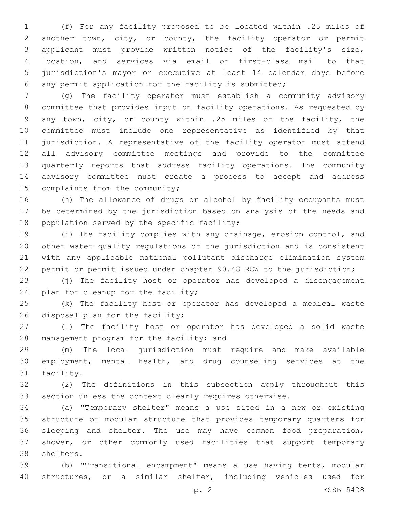(f) For any facility proposed to be located within .25 miles of another town, city, or county, the facility operator or permit applicant must provide written notice of the facility's size, location, and services via email or first-class mail to that jurisdiction's mayor or executive at least 14 calendar days before any permit application for the facility is submitted;

 (g) The facility operator must establish a community advisory committee that provides input on facility operations. As requested by any town, city, or county within .25 miles of the facility, the committee must include one representative as identified by that jurisdiction. A representative of the facility operator must attend all advisory committee meetings and provide to the committee quarterly reports that address facility operations. The community advisory committee must create a process to accept and address 15 complaints from the community;

 (h) The allowance of drugs or alcohol by facility occupants must be determined by the jurisdiction based on analysis of the needs and 18 population served by the specific facility;

 (i) The facility complies with any drainage, erosion control, and other water quality regulations of the jurisdiction and is consistent with any applicable national pollutant discharge elimination system permit or permit issued under chapter 90.48 RCW to the jurisdiction;

 (j) The facility host or operator has developed a disengagement 24 plan for cleanup for the facility;

 (k) The facility host or operator has developed a medical waste 26 disposal plan for the facility;

 (l) The facility host or operator has developed a solid waste 28 management program for the facility; and

 (m) The local jurisdiction must require and make available employment, mental health, and drug counseling services at the 31 facility.

 (2) The definitions in this subsection apply throughout this section unless the context clearly requires otherwise.

 (a) "Temporary shelter" means a use sited in a new or existing structure or modular structure that provides temporary quarters for sleeping and shelter. The use may have common food preparation, shower, or other commonly used facilities that support temporary 38 shelters.

 (b) "Transitional encampment" means a use having tents, modular structures, or a similar shelter, including vehicles used for